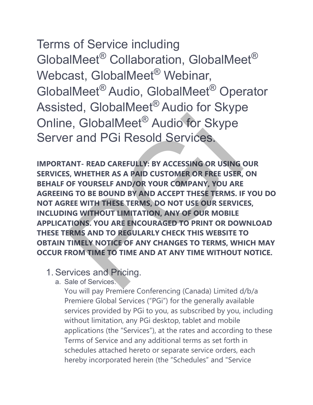Terms of Service including GlobalMeet® Collaboration, GlobalMeet® Webcast, GlobalMeet<sup>®</sup> Webinar, GlobalMeet® Audio, GlobalMeet® Operator Assisted, GlobalMeet® Audio for Skype Online, GlobalMeet® Audio for Skype Server and PGi Resold Services.

**IMPORTANT- READ CAREFULLY: BY ACCESSING OR USING OUR SERVICES, WHETHER AS A PAID CUSTOMER OR FREE USER, ON BEHALF OF YOURSELF AND/OR YOUR COMPANY, YOU ARE AGREEING TO BE BOUND BY AND ACCEPT THESE TERMS. IF YOU DO NOT AGREE WITH THESE TERMS, DO NOT USE OUR SERVICES, INCLUDING WITHOUT LIMITATION, ANY OF OUR MOBILE APPLICATIONS. YOU ARE ENCOURAGED TO PRINT OR DOWNLOAD THESE TERMS AND TO REGULARLY CHECK THIS WEBSITE TO OBTAIN TIMELY NOTICE OF ANY CHANGES TO TERMS, WHICH MAY OCCUR FROM TIME TO TIME AND AT ANY TIME WITHOUT NOTICE. EXECUTE AND ACTE SERVICES:**<br>
PER ANT- READ CAREFULLY: BY ACCESSING OR USING<br>
S, WHETHER AS A PAID CUSTOMER OR FREE USER,<br>
OF YOURSELF AND/OR YOUR COMPANY, YOU ARE<br>
IG TO BE BOUND BY AND ACCEPT THESE TERMS. IF<br>
REE WITH TH

- 1. Services and Pricing.
	- a. Sale of Services.

You will pay Premiere Conferencing (Canada) Limited d/b/a Premiere Global Services ("PGi") for the generally available services provided by PGi to you, as subscribed by you, including without limitation, any PGi desktop, tablet and mobile applications (the "Services"), at the rates and according to these Terms of Service and any additional terms as set forth in schedules attached hereto or separate service orders, each hereby incorporated herein (the "Schedules" and "Service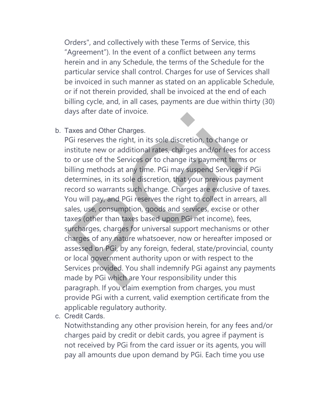Orders", and collectively with these Terms of Service, this "Agreement"). In the event of a conflict between any terms herein and in any Schedule, the terms of the Schedule for the particular service shall control. Charges for use of Services shall be invoiced in such manner as stated on an applicable Schedule, or if not therein provided, shall be invoiced at the end of each billing cycle, and, in all cases, payments are due within thirty (30) days after date of invoice.

b. Taxes and Other Charges.

PGi reserves the right, in its sole discretion, to change or institute new or additional rates, charges and/or fees for access to or use of the Services or to change its payment terms or billing methods at any time. PGi may suspend Services if PGi determines, in its sole discretion, that your previous payment record so warrants such change. Charges are exclusive of taxes. You will pay, and PGi reserves the right to collect in arrears, all sales, use, consumption, goods and services, excise or other taxes (other than taxes based upon PGi net income), fees, surcharges, charges for universal support mechanisms or other charges of any nature whatsoever, now or hereafter imposed or assessed on PGi, by any foreign, federal, state/provincial, county or local government authority upon or with respect to the Services provided. You shall indemnify PGi against any payments made by PGi which are Your responsibility under this paragraph. If you claim exemption from charges, you must provide PGi with a current, valid exemption certificate from the applicable regulatory authority. Faxes and Other Charges.<br>
Taxes and Other Charges.<br>
Taxes and Other Charges.<br>
SGI reserves the right, in its sole discretion, to change c<br>
no or use of the Services or to change its payment term<br>
billing methods at any tim

c. Credit Cards.

Notwithstanding any other provision herein, for any fees and/or charges paid by credit or debit cards, you agree if payment is not received by PGi from the card issuer or its agents, you will pay all amounts due upon demand by PGi. Each time you use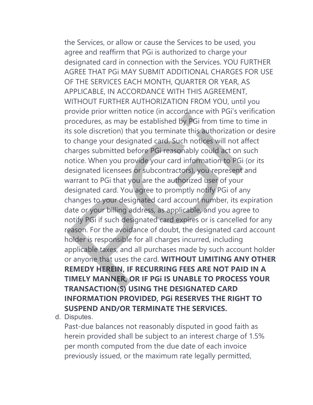the Services, or allow or cause the Services to be used, you agree and reaffirm that PGi is authorized to charge your designated card in connection with the Services. YOU FURTHER AGREE THAT PGi MAY SUBMIT ADDITIONAL CHARGES FOR USE OF THE SERVICES EACH MONTH, QUARTER OR YEAR, AS APPLICABLE, IN ACCORDANCE WITH THIS AGREEMENT, WITHOUT FURTHER AUTHORIZATION FROM YOU, until you provide prior written notice (in accordance with PGi's verification procedures, as may be established by PGi from time to time in its sole discretion) that you terminate this authorization or desire to change your designated card. Such notices will not affect charges submitted before PGi reasonably could act on such notice. When you provide your card information to PGi (or its designated licensees or subcontractors), you represent and warrant to PGi that you are the authorized user of your designated card. You agree to promptly notify PGi of any changes to your designated card account number, its expiration date or your billing address, as applicable, and you agree to notify PGi if such designated card expires or is cancelled for any reason. For the avoidance of doubt, the designated card account holder is responsible for all charges incurred, including applicable taxes, and all purchases made by such account holder or anyone that uses the card. **WITHOUT LIMITING ANY OTHER REMEDY HEREIN, IF RECURRING FEES ARE NOT PAID IN A TIMELY MANNER, OR IF PGi IS UNABLE TO PROCESS YOUR TRANSACTION(S) USING THE DESIGNATED CARD INFORMATION PROVIDED, PGi RESERVES THE RIGHT TO SUSPEND AND/OR TERMINATE THE SERVICES.** provide prior witter in accordance with City<br>orocedures, as may be established by PGi from time to<br>ts sole discretion) that you terminate this authorization<br>o change your designated card. Such notices will not a<br>charges su

d. Disputes.

Past-due balances not reasonably disputed in good faith as herein provided shall be subject to an interest charge of 1.5% per month computed from the due date of each invoice previously issued, or the maximum rate legally permitted,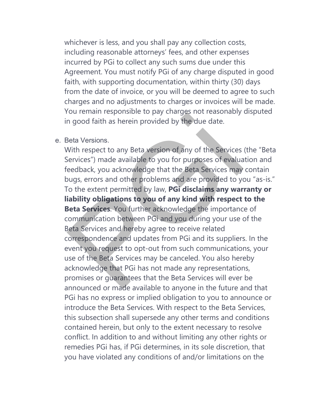whichever is less, and you shall pay any collection costs, including reasonable attorneys' fees, and other expenses incurred by PGi to collect any such sums due under this Agreement. You must notify PGi of any charge disputed in good faith, with supporting documentation, within thirty (30) days from the date of invoice, or you will be deemed to agree to such charges and no adjustments to charges or invoices will be made. You remain responsible to pay charges not reasonably disputed in good faith as herein provided by the due date.

#### e. Beta Versions.

With respect to any Beta version of any of the Services (the "Beta Services") made available to you for purposes of evaluation and feedback, you acknowledge that the Beta Services may contain bugs, errors and other problems and are provided to you "as-is." To the extent permitted by law, **PGi disclaims any warranty or liability obligations to you of any kind with respect to the Beta Services**. You further acknowledge the importance of communication between PGi and you during your use of the Beta Services and hereby agree to receive related correspondence and updates from PGi and its suppliers. In the event you request to opt-out from such communications, your use of the Beta Services may be canceled. You also hereby acknowledge that PGi has not made any representations, promises or guarantees that the Beta Services will ever be announced or made available to anyone in the future and that PGi has no express or implied obligation to you to announce or introduce the Beta Services. With respect to the Beta Services, this subsection shall supersede any other terms and conditions contained herein, but only to the extent necessary to resolve conflict. In addition to and without limiting any other rights or remedies PGi has, if PGi determines, in its sole discretion, that you have violated any conditions of and/or limitations on the outernaintesponsible to pay charges not reasonably<br>and good faith as herein provided by the due date.<br>Beta Versions.<br>Beta Versions.<br>Beta Versions.<br>Seta Versions.<br>Computed a version of any of the Services with<br>eedback, you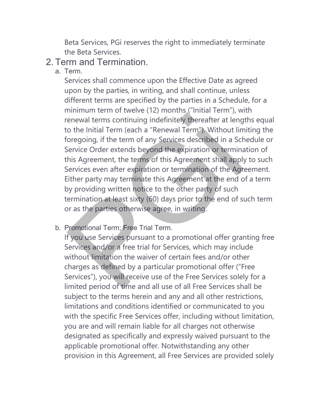Beta Services, PGi reserves the right to immediately terminate the Beta Services.

## 2. Term and Termination.

a. Term.

Services shall commence upon the Effective Date as agreed upon by the parties, in writing, and shall continue, unless different terms are specified by the parties in a Schedule, for a minimum term of twelve (12) months ("Initial Term"), with renewal terms continuing indefinitely thereafter at lengths equal to the Initial Term (each a "Renewal Term"). Without limiting the foregoing, if the term of any Services described in a Schedule or Service Order extends beyond the expiration or termination of this Agreement, the terms of this Agreement shall apply to such Services even after expiration or termination of the Agreement. Either party may terminate this Agreement at the end of a term by providing written notice to the other party of such termination at least sixty (60) days prior to the end of such term or as the parties otherwise agree, in writing. France are all terms continuing indefinitely thereafter at length and terms continuing indefinitely thereafter at length of the linitial Term (each a "Renewal Term"). Without line oregoing, if the term of any Services desc

b. Promotional Term; Free Trial Term.

If you use Services pursuant to a promotional offer granting free Services and/or a free trial for Services, which may include without limitation the waiver of certain fees and/or other charges as defined by a particular promotional offer ("Free Services"), you will receive use of the Free Services solely for a limited period of time and all use of all Free Services shall be subject to the terms herein and any and all other restrictions, limitations and conditions identified or communicated to you with the specific Free Services offer, including without limitation, you are and will remain liable for all charges not otherwise designated as specifically and expressly waived pursuant to the applicable promotional offer. Notwithstanding any other provision in this Agreement, all Free Services are provided solely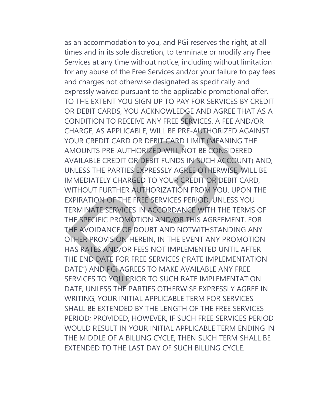as an accommodation to you, and PGi reserves the right, at all times and in its sole discretion, to terminate or modify any Free Services at any time without notice, including without limitation for any abuse of the Free Services and/or your failure to pay fees and charges not otherwise designated as specifically and expressly waived pursuant to the applicable promotional offer. TO THE EXTENT YOU SIGN UP TO PAY FOR SERVICES BY CREDIT OR DEBIT CARDS, YOU ACKNOWLEDGE AND AGREE THAT AS A CONDITION TO RECEIVE ANY FREE SERVICES, A FEE AND/OR CHARGE, AS APPLICABLE, WILL BE PRE-AUTHORIZED AGAINST YOUR CREDIT CARD OR DEBIT CARD LIMIT (MEANING THE AMOUNTS PRE-AUTHORIZED WILL NOT BE CONSIDERED AVAILABLE CREDIT OR DEBIT FUNDS IN SUCH ACCOUNT) AND, UNLESS THE PARTIES EXPRESSLY AGREE OTHERWISE, WILL BE IMMEDIATELY CHARGED TO YOUR CREDIT OR DEBIT CARD, WITHOUT FURTHER AUTHORIZATION FROM YOU, UPON THE EXPIRATION OF THE FREE SERVICES PERIOD, UNLESS YOU TERMINATE SERVICES IN ACCORDANCE WITH THE TERMS OF THE SPECIFIC PROMOTION AND/OR THIS AGREEMENT. FOR THE AVOIDANCE OF DOUBT AND NOTWITHSTANDING ANY OTHER PROVISION HEREIN, IN THE EVENT ANY PROMOTION HAS RATES AND/OR FEES NOT IMPLEMENTED UNTIL AFTER THE END DATE FOR FREE SERVICES ("RATE IMPLEMENTATION DATE") AND PGi AGREES TO MAKE AVAILABLE ANY FREE SERVICES TO YOU PRIOR TO SUCH RATE IMPLEMENTATION DATE, UNLESS THE PARTIES OTHERWISE EXPRESSLY AGREE IN WRITING, YOUR INITIAL APPLICABLE TERM FOR SERVICES SHALL BE EXTENDED BY THE LENGTH OF THE FREE SERVICES PERIOD; PROVIDED, HOWEVER, IF SUCH FREE SERVICES PERIOD WOULD RESULT IN YOUR INITIAL APPLICABLE TERM ENDING IN THE MIDDLE OF A BILLING CYCLE, THEN SUCH TERM SHALL BE EXTENDED TO THE LAST DAY OF SUCH BILLING CYCLE. CONDITION TO RECEIVE ANY FREE SERVICES. A FEE AN CONDITION TO RECEIVE ANY FREE SERVICES, A FEE AN CHARGE, AS APPLICABLE, WILL BE PRE-AUTHORIZED A<br>FOUR CREDIT CARD OR DEBIT CARD LIMIT (MEANING<br>MOUNTS PRE-AUTHORIZED WILL NOT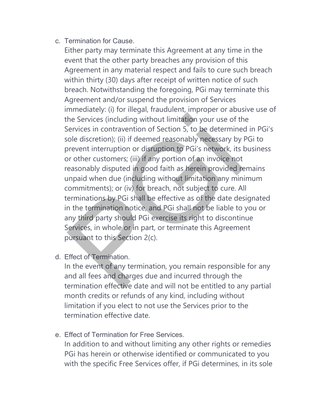c. Termination for Cause.

Either party may terminate this Agreement at any time in the event that the other party breaches any provision of this Agreement in any material respect and fails to cure such breach within thirty (30) days after receipt of written notice of such breach. Notwithstanding the foregoing, PGi may terminate this Agreement and/or suspend the provision of Services immediately: (i) for illegal, fraudulent, improper or abusive use of the Services (including without limitation your use of the Services in contravention of Section 5, to be determined in PGi's sole discretion); (ii) if deemed reasonably necessary by PGi to prevent interruption or disruption to PGi's network, its business or other customers; (iii) if any portion of an invoice not reasonably disputed in good faith as herein provided remains unpaid when due (including without limitation any minimum commitments); or (iv) for breach, not subject to cure. All terminations by PGi shall be effective as of the date designated in the termination notice, and PGi shall not be liable to you or any third party should PGi exercise its right to discontinue Services, in whole or in part, or terminate this Agreement pursuant to this Section 2(c). he Services (including without limitation your use of the Services in contravention of Section 5, to be determine<br>cole discretion); (ii) if deemed reasonably necessary by<br>prevent interruption or disruption to PGi's network

d. Effect of Termination.

In the event of any termination, you remain responsible for any and all fees and charges due and incurred through the termination effective date and will not be entitled to any partial month credits or refunds of any kind, including without limitation if you elect to not use the Services prior to the termination effective date.

e. Effect of Termination for Free Services.

In addition to and without limiting any other rights or remedies PGi has herein or otherwise identified or communicated to you with the specific Free Services offer, if PGi determines, in its sole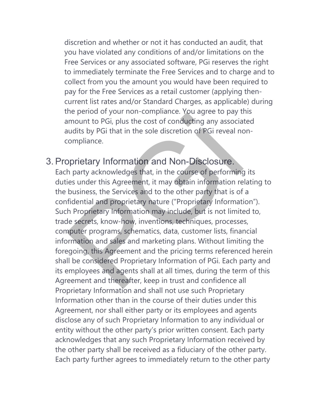discretion and whether or not it has conducted an audit, that you have violated any conditions of and/or limitations on the Free Services or any associated software, PGi reserves the right to immediately terminate the Free Services and to charge and to collect from you the amount you would have been required to pay for the Free Services as a retail customer (applying thencurrent list rates and/or Standard Charges, as applicable) during the period of your non-compliance. You agree to pay this amount to PGi, plus the cost of conducting any associated audits by PGi that in the sole discretion of PGi reveal noncompliance.

## 3. Proprietary Information and Non-Disclosure.

Each party acknowledges that, in the course of performing its duties under this Agreement, it may obtain information relating to the business, the Services and to the other party that is of a confidential and proprietary nature ("Proprietary Information"). Such Proprietary Information may include, but is not limited to, trade secrets, know-how, inventions, techniques, processes, computer programs, schematics, data, customer lists, financial information and sales and marketing plans. Without limiting the foregoing, this Agreement and the pricing terms referenced herein shall be considered Proprietary Information of PGi. Each party and its employees and agents shall at all times, during the term of this Agreement and thereafter, keep in trust and confidence all Proprietary Information and shall not use such Proprietary Information other than in the course of their duties under this Agreement, nor shall either party or its employees and agents disclose any of such Proprietary Information to any individual or entity without the other party's prior written consent. Each party acknowledges that any such Proprietary Information received by the other party shall be received as a fiduciary of the other party. Each party further agrees to immediately return to the other party The period of your non-complaince. You agree to pay the period of your non-complaince. You agree to pay the mount to PGi, plus the cost of conducting any associated its by PGi that in the sole discretion of PGi reveal no c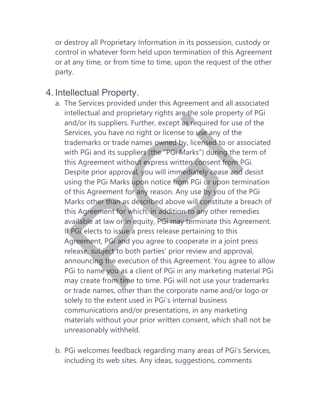or destroy all Proprietary Information in its possession, custody or control in whatever form held upon termination of this Agreement or at any time, or from time to time, upon the request of the other party.

## 4. Intellectual Property.

- a. The Services provided under this Agreement and all associated intellectual and proprietary rights are the sole property of PGi and/or its suppliers. Further, except as required for use of the Services, you have no right or license to use any of the trademarks or trade names owned by, licensed to or associated with PGi and its suppliers (the "PGi Marks") during the term of this Agreement without express written consent from PGi. Despite prior approval, you will immediately cease and desist using the PGi Marks upon notice from PGi or upon termination of this Agreement for any reason. Any use by you of the PGi Marks other than as described above will constitute a breach of this Agreement for which, in addition to any other remedies available at law or in equity, PGi may terminate this Agreement. If PGi elects to issue a press release pertaining to this Agreement, PGi and you agree to cooperate in a joint press release, subject to both parties' prior review and approval, announcing the execution of this Agreement. You agree to allow PGi to name you as a client of PGi in any marketing material PGi may create from time to time. PGi will not use your trademarks or trade names, other than the corporate name and/or logo or solely to the extent used in PGi's internal business communications and/or presentations, in any marketing materials without your prior written consent, which shall not be unreasonably withheld. ntellectual and proprietary rights are the sole property<br>and/or its suppliers. Further, except as required for use<br>services, you have no right or license to use any of the<br>rademarks or trade names owned by, licensed to or
- b. PGi welcomes feedback regarding many areas of PGi's Services, including its web sites. Any ideas, suggestions, comments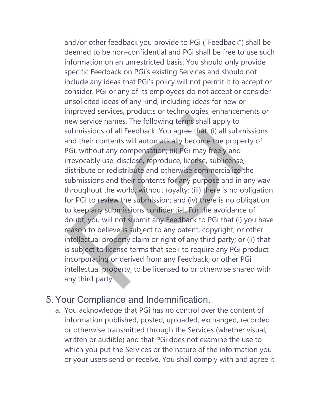and/or other feedback you provide to PGi ("Feedback") shall be deemed to be non-confidential and PGi shall be free to use such information on an unrestricted basis. You should only provide specific Feedback on PGi's existing Services and should not include any ideas that PGi's policy will not permit it to accept or consider. PGi or any of its employees do not accept or consider unsolicited ideas of any kind, including ideas for new or improved services, products or technologies, enhancements or new service names. The following terms shall apply to submissions of all Feedback: You agree that: (i) all submissions and their contents will automatically become the property of PGi, without any compensation; (ii) PGi may freely and irrevocably use, disclose, reproduce, license, sublicense, distribute or redistribute and otherwise commercialize the submissions and their contents for any purpose and in any way throughout the world, without royalty; (iii) there is no obligation for PGi to review the submission; and (iv) there is no obligation to keep any submissions confidential. For the avoidance of doubt, you will not submit any Feedback to PGi that (i) you have reason to believe is subject to any patent, copyright, or other intellectual property claim or right of any third party; or (ii) that is subject to license terms that seek to require any PGi product incorporating or derived from any Feedback, or other PGi intellectual property, to be licensed to or otherwise shared with any third party. mproved services, products or decinologies, emailed the service names. The following terms shall apply to ubmissions of all Feedback: You agree that: (i) all subm<br>and their contents will automatically become the prope OGi,

# 5. Your Compliance and Indemnification.

a. You acknowledge that PGi has no control over the content of information published, posted, uploaded, exchanged, recorded or otherwise transmitted through the Services (whether visual, written or audible) and that PGi does not examine the use to which you put the Services or the nature of the information you or your users send or receive. You shall comply with and agree it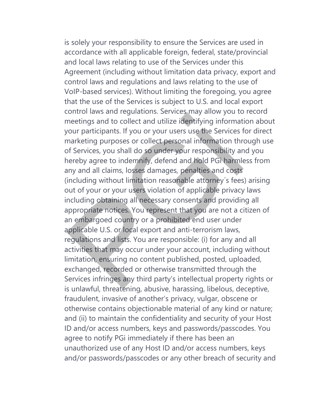is solely your responsibility to ensure the Services are used in accordance with all applicable foreign, federal, state/provincial and local laws relating to use of the Services under this Agreement (including without limitation data privacy, export and control laws and regulations and laws relating to the use of VoIP-based services). Without limiting the foregoing, you agree that the use of the Services is subject to U.S. and local export control laws and regulations. Services may allow you to record meetings and to collect and utilize identifying information about your participants. If you or your users use the Services for direct marketing purposes or collect personal information through use of Services, you shall do so under your responsibility and you hereby agree to indemnify, defend and hold PGi harmless from any and all claims, losses damages, penalties and costs (including without limitation reasonable attorney´s fees) arising out of your or your users violation of applicable privacy laws including obtaining all necessary consents and providing all appropriate notices. You represent that you are not a citizen of an embargoed country or a prohibited end user under applicable U.S. or local export and anti-terrorism laws, regulations and lists. You are responsible: (i) for any and all activities that may occur under your account, including without limitation, ensuring no content published, posted, uploaded, exchanged, recorded or otherwise transmitted through the Services infringes any third party's intellectual property rights or is unlawful, threatening, abusive, harassing, libelous, deceptive, fraudulent, invasive of another's privacy, vulgar, obscene or otherwise contains objectionable material of any kind or nature; and (ii) to maintain the confidentiality and security of your Host ID and/or access numbers, keys and passwords/passcodes. You agree to notify PGi immediately if there has been an unauthorized use of any Host ID and/or access numbers, keys and/or passwords/passcodes or any other breach of security and Collitorials and regulatoris. Services high allow you to<br>meetings and to collect and utilize identifying informat<br>our participants. If you or your users use the Services f<br>marketing purposes or collect personal information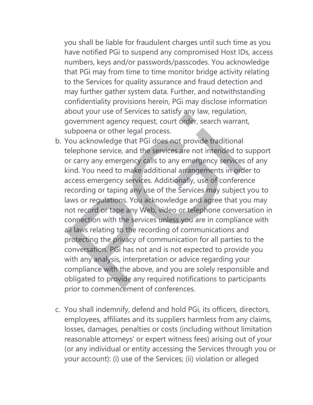you shall be liable for fraudulent charges until such time as you have notified PGi to suspend any compromised Host IDs, access numbers, keys and/or passwords/passcodes. You acknowledge that PGi may from time to time monitor bridge activity relating to the Services for quality assurance and fraud detection and may further gather system data. Further, and notwithstanding confidentiality provisions herein, PGi may disclose information about your use of Services to satisfy any law, regulation, government agency request, court order, search warrant, subpoena or other legal process.

- b. You acknowledge that PGi does not provide traditional telephone service, and the services are not intended to support or carry any emergency calls to any emergency services of any kind. You need to make additional arrangements in order to access emergency services. Additionally, use of conference recording or taping any use of the Services may subject you to laws or regulations. You acknowledge and agree that you may not record or tape any Web, video or telephone conversation in connection with the services unless you are in compliance with all laws relating to the recording of communications and protecting the privacy of communication for all parties to the conversation. PGi has not and is not expected to provide you with any analysis, interpretation or advice regarding your compliance with the above, and you are solely responsible and obligated to provide any required notifications to participants prior to commencement of conferences. Boott your dise of services to satisfy any law, regulation<br>government agency request, court order, search warrar<br>ubpoena or other legal process.<br>(ou acknowledge that PGi does not provide traditional<br>elephone service, and t
- c. You shall indemnify, defend and hold PGi, its officers, directors, employees, affiliates and its suppliers harmless from any claims, losses, damages, penalties or costs (including without limitation reasonable attorneys' or expert witness fees) arising out of your (or any individual or entity accessing the Services through you or your account): (i) use of the Services; (ii) violation or alleged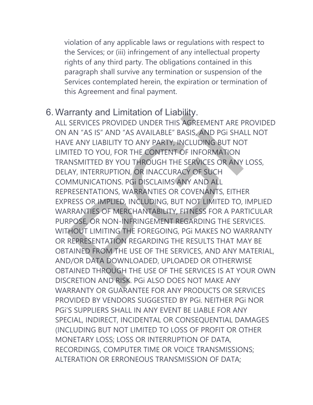violation of any applicable laws or regulations with respect to the Services; or (iii) infringement of any intellectual property rights of any third party. The obligations contained in this paragraph shall survive any termination or suspension of the Services contemplated herein, the expiration or termination of this Agreement and final payment.

## 6. Warranty and Limitation of Liability.

ALL SERVICES PROVIDED UNDER THIS AGREEMENT ARE PROVIDED ON AN "AS IS" AND "AS AVAILABLE" BASIS, AND PGi SHALL NOT HAVE ANY LIABILITY TO ANY PARTY, INCLUDING BUT NOT LIMITED TO YOU, FOR THE CONTENT OF INFORMATION TRANSMITTED BY YOU THROUGH THE SERVICES OR ANY LOSS, DELAY, INTERRUPTION, OR INACCURACY OF SUCH COMMUNICATIONS. PGi DISCLAIMS ANY AND ALL REPRESENTATIONS, WARRANTIES OR COVENANTS, EITHER EXPRESS OR IMPLIED, INCLUDING, BUT NOT LIMITED TO, IMPLIED WARRANTIES OF MERCHANTABILITY, FITNESS FOR A PARTICULAR PURPOSE, OR NON-INFRINGEMENT REGARDING THE SERVICES. WITHOUT LIMITING THE FOREGOING, PGi MAKES NO WARRANTY OR REPRESENTATION REGARDING THE RESULTS THAT MAY BE OBTAINED FROM THE USE OF THE SERVICES, AND ANY MATERIAL, AND/OR DATA DOWNLOADED, UPLOADED OR OTHERWISE OBTAINED THROUGH THE USE OF THE SERVICES IS AT YOUR OWN DISCRETION AND RISK. PGi ALSO DOES NOT MAKE ANY WARRANTY OR GUARANTEE FOR ANY PRODUCTS OR SERVICES PROVIDED BY VENDORS SUGGESTED BY PGi. NEITHER PGi NOR PGI'S SUPPLIFRS SHALL IN ANY EVENT BE LIABLE FOR ANY SPECIAL, INDIRECT, INCIDENTAL OR CONSEQUENTIAL DAMAGES (INCLUDING BUT NOT LIMITED TO LOSS OF PROFIT OR OTHER MONETARY LOSS; LOSS OR INTERRUPTION OF DATA, RECORDINGS, COMPUTER TIME OR VOICE TRANSMISSIONS; ALTERATION OR ERRONEOUS TRANSMISSION OF DATA; attanty and Emination of Elabimy.<br>
SERVICES PROVIDED UNDER THIS AGREEMENT ARE P<br>
AN "AS IS" AND "AS AVAILABLE" BASIS, AND PGI SHA<br>
VE ANY LIABILITY TO ANY PARTY, INCLUDING BUT NO<br>
ITED TO YOU, FOR THE CONTENT OF INFORMATIO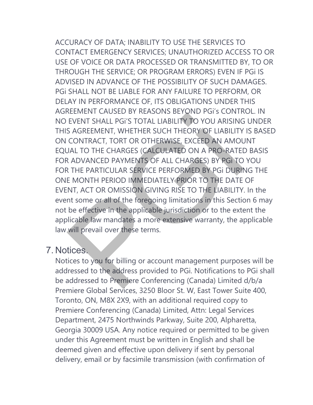ACCURACY OF DATA; INABILITY TO USE THE SERVICES TO CONTACT EMERGENCY SERVICES; UNAUTHORIZED ACCESS TO OR USE OF VOICE OR DATA PROCESSED OR TRANSMITTED BY, TO OR THROUGH THE SERVICE; OR PROGRAM ERRORS) EVEN IF PGi IS ADVISED IN ADVANCE OF THE POSSIBILITY OF SUCH DAMAGES. PGi SHALL NOT BE LIABLE FOR ANY FAILURE TO PERFORM, OR DELAY IN PERFORMANCE OF, ITS OBLIGATIONS UNDER THIS AGREEMENT CAUSED BY REASONS BEYOND PGi's CONTROL. IN NO EVENT SHALL PGi'S TOTAL LIABILITY TO YOU ARISING UNDER THIS AGREEMENT, WHETHER SUCH THEORY OF LIABILITY IS BASED ON CONTRACT, TORT OR OTHERWISE, EXCEED AN AMOUNT EQUAL TO THE CHARGES (CALCULATED ON A PRO-RATED BASIS FOR ADVANCED PAYMENTS OF ALL CHARGES) BY PGi TO YOU FOR THE PARTICULAR SERVICE PERFORMED BY PGi DURING THE ONE MONTH PERIOD IMMEDIATELY PRIOR TO THE DATE OF EVENT, ACT OR OMISSION GIVING RISE TO THE LIABILITY. In the event some or all of the foregoing limitations in this Section 6 may not be effective in the applicable jurisdiction or to the extent the applicable law mandates a more extensive warranty, the applicable EVENT SHALL PGi'S TOTAL LIABILITY TO YOU ARISING<br>EVENT SHALL PGi'S TOTAL LIABILITY TO YOU ARISING<br>S AGREEMENT, WHETHER SUCH THEORY OF LIABILITY<br>CONTRACT, TORT OR OTHERWISE, EXCEED AN AMOU<br>JAL TO THE CHARGES (CALCULATED ON

### 7. Notices.

law will prevail over these terms.

Notices to you for billing or account management purposes will be addressed to the address provided to PGi. Notifications to PGi shall be addressed to Premiere Conferencing (Canada) Limited d/b/a Premiere Global Services, 3250 Bloor St. W, East Tower Suite 400, Toronto, ON, M8X 2X9, with an additional required copy to Premiere Conferencing (Canada) Limited, Attn: Legal Services Department, 2475 Northwinds Parkway, Suite 200, Alpharetta, Georgia 30009 USA. Any notice required or permitted to be given under this Agreement must be written in English and shall be deemed given and effective upon delivery if sent by personal delivery, email or by facsimile transmission (with confirmation of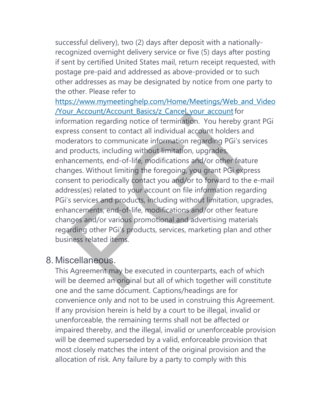successful delivery), two (2) days after deposit with a nationallyrecognized overnight delivery service or five (5) days after posting if sent by certified United States mail, return receipt requested, with postage pre-paid and addressed as above-provided or to such other addresses as may be designated by notice from one party to the other. Please refer to

[https://www.mymeetinghelp.com/Home/Meetings/Web\\_and\\_Video](https://www.mymeetinghelp.com/Home/Meetings/Web_and_Video/Your_Account/Account_Basics/z_Cancel_your_account) [/Your\\_Account/Account\\_Basics/z\\_Cancel\\_your\\_account](https://www.mymeetinghelp.com/Home/Meetings/Web_and_Video/Your_Account/Account_Basics/z_Cancel_your_account) for information regarding notice of termination. You hereby grant PGi express consent to contact all individual account holders and moderators to communicate information regarding PGi's services and products, including without limitation, upgrades, enhancements, end-of-life, modifications and/or other feature changes. Without limiting the foregoing, you grant PGi express consent to periodically contact you and/or to forward to the e-mail address(es) related to your account on file information regarding PGi's services and products, including without limitation, upgrades, enhancements, end-of-life, modifications and/or other feature changes and/or various promotional and advertising materials regarding other PGi's products, services, marketing plan and other business related items. an Account pasts of calculation. You hereby introduced in the memorial or thresholders and the control of the products, including without limitation, upgrades, ancements, end-of-life, modifications and/or other featings. W

## 8. Miscellaneous.

This Agreement may be executed in counterparts, each of which will be deemed an original but all of which together will constitute one and the same document. Captions/headings are for convenience only and not to be used in construing this Agreement. If any provision herein is held by a court to be illegal, invalid or unenforceable, the remaining terms shall not be affected or impaired thereby, and the illegal, invalid or unenforceable provision will be deemed superseded by a valid, enforceable provision that most closely matches the intent of the original provision and the allocation of risk. Any failure by a party to comply with this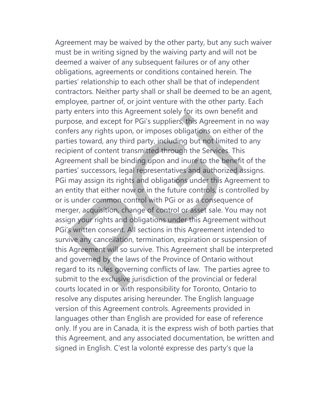Agreement may be waived by the other party, but any such waiver must be in writing signed by the waiving party and will not be deemed a waiver of any subsequent failures or of any other obligations, agreements or conditions contained herein. The parties' relationship to each other shall be that of independent contractors. Neither party shall or shall be deemed to be an agent, employee, partner of, or joint venture with the other party. Each party enters into this Agreement solely for its own benefit and purpose, and except for PGi's suppliers, this Agreement in no way confers any rights upon, or imposes obligations on either of the parties toward, any third party, including but not limited to any recipient of content transmitted through the Services. This Agreement shall be binding upon and inure to the benefit of the parties' successors, legal representatives and authorized assigns. PGi may assign its rights and obligations under this Agreement to an entity that either now or in the future controls, is controlled by or is under common control with PGi or as a consequence of merger, acquisition, change of control or asset sale. You may not assign your rights and obligations under this Agreement without PGi's written consent. All sections in this Agreement intended to survive any cancellation, termination, expiration or suspension of this Agreement will so survive. This Agreement shall be interpreted and governed by the laws of the Province of Ontario without regard to its rules governing conflicts of law. The parties agree to submit to the exclusive jurisdiction of the provincial or federal courts located in or with responsibility for Toronto, Ontario to resolve any disputes arising hereunder. The English language version of this Agreement controls. Agreements provided in languages other than English are provided for ease of reference only. If you are in Canada, it is the express wish of both parties that this Agreement, and any associated documentation, be written and signed in English. C'est la volonté expresse des party's que la by enters into this Agreement solely for its own benefit<br>pose, and except for PGi's suppliers, this Agreement in<br>fers any rights upon, or imposes obligations on either<br>ties toward, any third party, including but not limite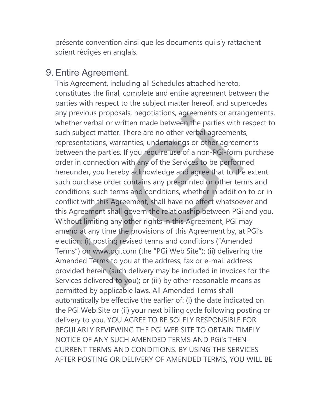présente convention ainsi que les documents qui s'y rattachent soient rédigés en anglais.

### 9. Entire Agreement.

This Agreement, including all Schedules attached hereto, constitutes the final, complete and entire agreement between the parties with respect to the subject matter hereof, and supercedes any previous proposals, negotiations, agreements or arrangements, whether verbal or written made between the parties with respect to such subject matter. There are no other verbal agreements, representations, warranties, undertakings or other agreements between the parties. If you require use of a non-PGi-form purchase order in connection with any of the Services to be performed hereunder, you hereby acknowledge and agree that to the extent such purchase order contains any pre-printed or other terms and conditions, such terms and conditions, whether in addition to or in conflict with this Agreement, shall have no effect whatsoever and this Agreement shall govern the relationship between PGi and you. Without limiting any other rights in this Agreement, PGi may amend at any time the provisions of this Agreement by, at PGi's election: (i) posting revised terms and conditions ("Amended Terms") on www.pgi.com (the "PGi Web Site"); (ii) delivering the Amended Terms to you at the address, fax or e-mail address provided herein (such delivery may be included in invoices for the Services delivered to you); or (iii) by other reasonable means as permitted by applicable laws. All Amended Terms shall automatically be effective the earlier of: (i) the date indicated on the PGi Web Site or (ii) your next billing cycle following posting or delivery to you. YOU AGREE TO BE SOLELY RESPONSIBLE FOR REGULARLY REVIEWING THE PGi WEB SITE TO OBTAIN TIMELY NOTICE OF ANY SUCH AMENDED TERMS AND PGi's THEN-CURRENT TERMS AND CONDITIONS. BY USING THE SERVICES AFTER POSTING OR DELIVERY OF AMENDED TERMS, YOU WILL BE previous proposals, negotiations, agreements or arrar<br>ther verbal or written made between the parties with in<br>subject matter. There are no other verbal agreement<br>resentations, warranties, undertakings or other agreem<br>ween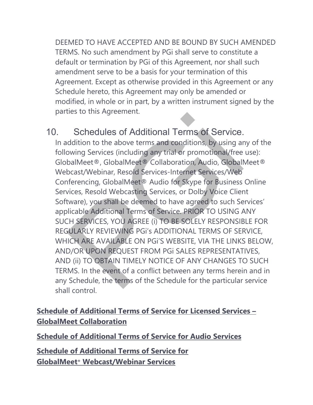DEEMED TO HAVE ACCEPTED AND BE BOUND BY SUCH AMENDED TERMS. No such amendment by PGi shall serve to constitute a default or termination by PGi of this Agreement, nor shall such amendment serve to be a basis for your termination of this Agreement. Except as otherwise provided in this Agreement or any Schedule hereto, this Agreement may only be amended or modified, in whole or in part, by a written instrument signed by the parties to this Agreement.

# 10. Schedules of Additional Terms of Service.

In addition to the above terms and conditions, by using any of the following Services (including any trial or promotional/free use): GlobalMeet®, GlobalMeet® Collaboration, Audio, GlobalMeet® Webcast/Webinar, Resold Services-Internet Services/Web Conferencing, GlobalMeet® Audio for Skype for Business Online Services, Resold Webcasting Services, or Dolby Voice Client Software), you shall be deemed to have agreed to such Services' applicable Additional Terms of Service. PRIOR TO USING ANY SUCH SERVICES, YOU AGREE (i) TO BE SOLELY RESPONSIBLE FOR REGULARLY REVIEWING PGi's ADDITIONAL TERMS OF SERVICE, WHICH ARE AVAILABLE ON PGi'S WEBSITE, VIA THE LINKS BELOW, AND/OR UPON REQUEST FROM PGi SALES REPRESENTATIVES, AND (ii) TO OBTAIN TIMELY NOTICE OF ANY CHANGES TO SUCH TERMS. In the event of a conflict between any terms herein and in any Schedule, the terms of the Schedule for the particular service shall control. Schedules of Additional Terms of Service.<br>
didition to the above terms and conditions, by using an<br>
boxing Services (including any trial or promotional/free<br>
balMeet®, GlobalMeet® Collaboration, Audio, GlobalI<br>
bcast/Webin

## **Schedule of [Additional](https://www.pgi.com/terms-of-service/globalmeet/) Terms of Service for Licensed Services – GlobalMeet [Collaboration](https://www.pgi.com/terms-of-service/globalmeet/)**

**Schedule of [Additional](https://www.pgi.com/terms-of-service/globalmeet/) Terms of Service for Audio Services**

**Schedule of [Additional](https://www.pgi.com/terms-of-service/globalmeet/) Terms of Service for GlobalMeet® [Webcast/Webinar](https://www.pgi.com/terms-of-service/globalmeet/) Services**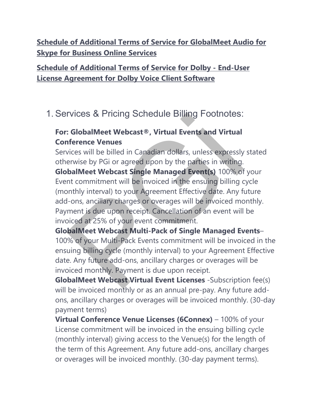**Schedule of Additional Terms of Service for [GlobalMeet](https://www.pgi.com/terms-of-service/globalmeet/) Audio for Skype for [Business](https://www.pgi.com/terms-of-service/globalmeet/) Online Services**

## **Schedule of [Additional](https://www.pgi.com/terms-of-service/globalmeet/) Terms of Service for Dolby - End-User License [Agreement](https://www.pgi.com/terms-of-service/globalmeet/) for Dolby Voice Client Software**

# 1. Services & Pricing Schedule Billing Footnotes:

## **For: GlobalMeet Webcast®, Virtual Events and Virtual Conference Venues**

Services will be billed in Canadian dollars, unless expressly stated otherwise by PGi or agreed upon by the parties in writing. **GlobalMeet Webcast Single Managed Event(s)** 100% of your Event commitment will be invoiced in the ensuing billing cycle (monthly interval) to your Agreement Effective date. Any future add-ons, ancillary charges or overages will be invoiced monthly. Payment is due upon receipt. Cancellation of an event will be invoiced at 25% of your event commitment. rvices & Pricing Schedule Billing Footnotes:<br> **Colonistical Example Schedule Example 1**<br> **Colonistic Schedule Example 1**<br> **Colonistic Schedule Schedule Schedule Schedule Schedule Schedule Example Prices**<br>
Franciscular Sche

**GlobalMeet Webcast Multi-Pack of Single Managed Events**– 100% of your Multi-Pack Events commitment will be invoiced in the ensuing billing cycle (monthly interval) to your Agreement Effective date. Any future add-ons, ancillary charges or overages will be invoiced monthly. Payment is due upon receipt.

**GlobalMeet Webcast Virtual Event Licenses** -Subscription fee(s) will be invoiced monthly or as an annual pre-pay. Any future addons, ancillary charges or overages will be invoiced monthly. (30-day payment terms)

**Virtual Conference Venue Licenses (6Connex)** – 100% of your License commitment will be invoiced in the ensuing billing cycle (monthly interval) giving access to the Venue(s) for the length of the term of this Agreement. Any future add-ons, ancillary charges or overages will be invoiced monthly. (30-day payment terms).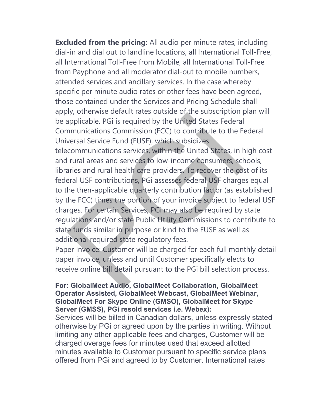**Excluded from the pricing:** All audio per minute rates, including dial-in and dial out to landline locations, all International Toll-Free, all International Toll-Free from Mobile, all International Toll-Free from Payphone and all moderator dial-out to mobile numbers, attended services and ancillary services. In the case whereby specific per minute audio rates or other fees have been agreed, those contained under the Services and Pricing Schedule shall apply, otherwise default rates outside of the subscription plan will be applicable. PGi is required by the United States Federal Communications Commission (FCC) to contribute to the Federal Universal Service Fund (FUSF), which subsidizes

telecommunications services, within the United States, in high cost and rural areas and services to low-income consumers, schools, libraries and rural health care providers. To recover the cost of its federal USF contributions, PGi assesses federal USF charges equal to the then-applicable quarterly contribution factor (as established by the FCC) times the portion of your invoice subject to federal USF charges. For certain Services, PGi may also be required by state regulations and/or state Public Utility Commissions to contribute to state funds similar in purpose or kind to the FUSF as well as additional required state regulatory fees. applicable. PGi is required by the United States Federal provides applicable. PGi is required by the United States Federal numunications Commission (FCC) to contribute to the F<br>versal Service Fund (FUSF), which subsidizes<br>

Paper Invoice: Customer will be charged for each full monthly detail paper invoice, unless and until Customer specifically elects to receive online bill detail pursuant to the PGi bill selection process.

#### **For: GlobalMeet Audio, GlobalMeet Collaboration, GlobalMeet Operator Assisted, GlobalMeet Webcast, GlobalMeet Webinar, GlobalMeet For Skype Online (GMSO), GlobalMeet for Skype Server (GMSS), PGi resold services i.e. Webex):**

Services will be billed in Canadian dollars, unless expressly stated otherwise by PGi or agreed upon by the parties in writing. Without limiting any other applicable fees and charges, Customer will be charged overage fees for minutes used that exceed allotted minutes available to Customer pursuant to specific service plans offered from PGi and agreed to by Customer. International rates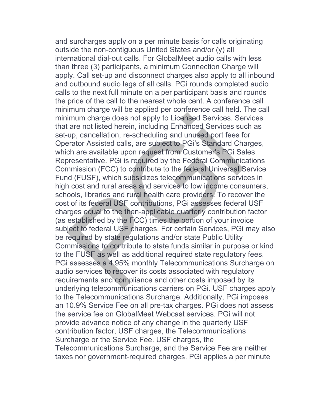and surcharges apply on a per minute basis for calls originating outside the non-contiguous United States and/or (y) all international dial-out calls. For GlobalMeet audio calls with less than three (3) participants, a minimum Connection Charge will apply. Call set-up and disconnect charges also apply to all inbound and outbound audio legs of all calls. PGi rounds completed audio calls to the next full minute on a per participant basis and rounds the price of the call to the nearest whole cent. A conference call minimum charge will be applied per conference call held. The call minimum charge does not apply to Licensed Services. Services that are not listed herein, including Enhanced Services such as set-up, cancellation, re-scheduling and unused port fees for Operator Assisted calls, are subject to PGi's Standard Charges, which are available upon request from Customer's PGi Sales Representative. PGi is required by the Federal Communications Commission (FCC) to contribute to the federal Universal Service Fund (FUSF), which subsidizes telecommunications services in high cost and rural areas and services to low income consumers, schools, libraries and rural health care providers. To recover the cost of its federal USF contributions, PGi assesses federal USF charges equal to the then-applicable quarterly contribution factor (as established by the FCC) times the portion of your invoice subject to federal USF charges. For certain Services, PGi may also be required by state regulations and/or state Public Utility Commissions to contribute to state funds similar in purpose or kind to the FUSF as well as additional required state regulatory fees. PGi assesses a 4.95% monthly Telecommunications Surcharge on audio services to recover its costs associated with regulatory requirements and compliance and other costs imposed by its underlying telecommunications carriers on PGi. USF charges apply to the Telecommunications Surcharge. Additionally, PGi imposes an 10.9% Service Fee on all pre-tax charges. PGi does not assess the service fee on GlobalMeet Webcast services. PGi will not provide advance notice of any change in the quarterly USF contribution factor, USF charges, the Telecommunications Surcharge or the Service Fee. USF charges, the Telecommunications Surcharge, and the Service Fee are neither taxes nor government-required charges. PGi applies a per minute imum charge does not apply to Licensed Services. Se<br>tare not listed herein, including Enhanced Services su<br>up, cancellation, re-scheduling and unused port fees f<br>erator Assisted calls, are subject to PGi's Standard Ch<br>ch a